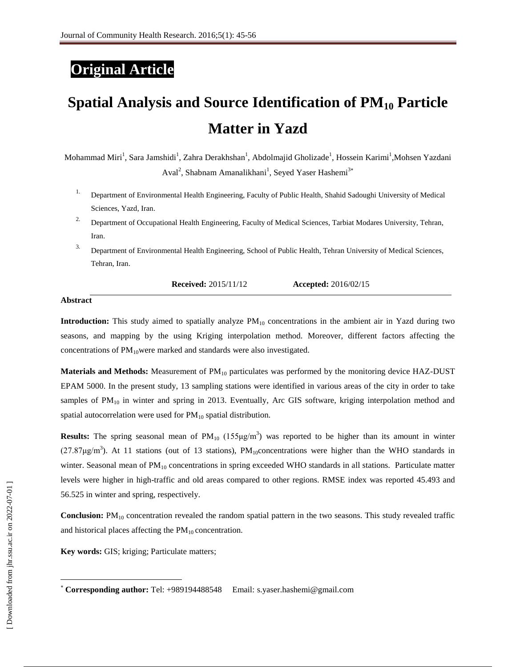## **Original Article**

# **Spatial Analysis and Source Identification of PM<sup>10</sup> Particle Matter in Yazd**

Mohammad Miri<sup>1</sup>, Sara Jamshidi<sup>1</sup>, Zahra Derakhshan<sup>1</sup>, Abdolmajid Gholizade<sup>1</sup>, Hossein Karimi<sup>1</sup>,Mohsen Yazdani Aval<sup>2</sup>, Shabnam Amanalikhani<sup>1</sup>, Seyed Yaser Hashemi<sup>3\*</sup>

- 1. Department of Environmental Health Engineering, Faculty of Public Health, Shahid Sadoughi University of Medical Sciences, Yazd, Iran.
- 2. Department of Occupational Health Engineering, Faculty of Medical Sciences, Tarbiat Modares University, Tehran, Iran.
- 3. Department of Environmental Health Engineering, School of Public Health, Tehran University of Medical Sciences, Tehran, Iran.

**Received:** 2015/11/12 **Accepted:** 2016/02/15

#### **Abstract**

**Introduction:** This study aimed to spatially analyze  $PM_{10}$  concentrations in the ambient air in Yazd during two seasons, and mapping by the using Kriging interpolation method. Moreover, different factors affecting the concentrations of  $PM_{10}$  were marked and standards were also investigated.

**Materials and Methods:** Measurement of PM<sub>10</sub> particulates was performed by the monitoring device HAZ-DUST EPAM 5000. In the present study, 13 sampling stations were identified in various areas of the city in order to take samples of  $PM_{10}$  in winter and spring in 2013. Eventually, Arc GIS software, kriging interpolation method and spatial autocorrelation were used for  $PM_{10}$  spatial distribution.

**Results:** The spring seasonal mean of  $PM_{10}$  (155 $\mu$ g/m<sup>3</sup>) was reported to be higher than its amount in winter (27.87 $\mu$ g/m<sup>3</sup>). At 11 stations (out of 13 stations), PM<sub>10</sub>concentrations were higher than the WHO standards in winter. Seasonal mean of  $PM_{10}$  concentrations in spring exceeded WHO standards in all stations. Particulate matter levels were higher in high-traffic and old areas compared to other regions. RMSE index was reported 45.493 and 56.525 in winter and spring, respectively.

**Conclusion:** PM<sub>10</sub> concentration revealed the random spatial pattern in the two seasons. This study revealed traffic and historical places affecting the  $PM_{10}$  concentration.

**Key words:** GIS; kriging; Particulate matters;

 $\overline{\phantom{a}}$ 

**Corresponding author:** Tel: +989194488548 Email: [s.yaser.hashemi@gmail.com](mailto:s.yaser.hashemi@gmail.com)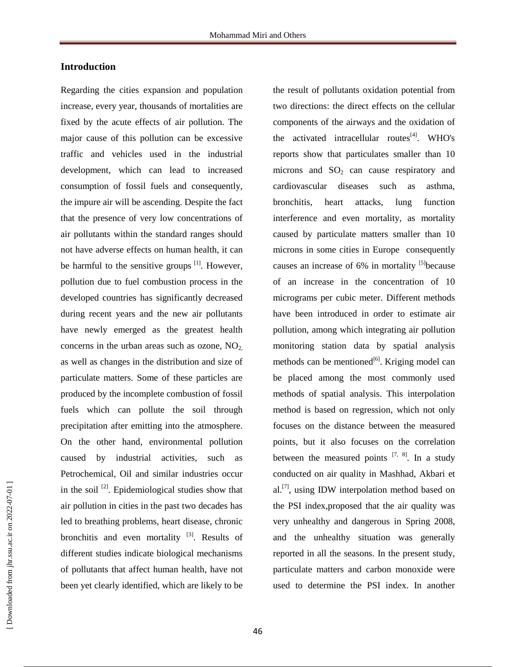#### **Introduction**

Regarding the cities expansion and population increase, every year, thousands of mortalities are fixed by the acute effects of air pollution. The major cause of this pollution can be excessive traffic and vehicles used in the industrial development, which can lead to increased consumption of fossil fuels and consequently, the impure air will be ascending. Despite the fact that the presence of very low concentrations of air pollutants within the standard ranges should not have adverse effects on human health, it can be harmful to the sensitive groups  $\left[1\right]$ . However, pollution due to fuel combustion process in the developed countries has significantly decreased during recent years and the new air pollutants have newly emerged as the greatest health concerns in the urban areas such as ozone,  $NO<sub>2</sub>$ , as well as changes in the distribution and size of particulate matters. Some of these particles are produced by the incomplete combustion of fossil fuels which can pollute the soil through precipitation after emitting into the atmosphere. On the other hand, environmental pollution caused by industrial activities, such as Petrochemical, Oil and similar industries occur in the soil  $^{[2]}$ . Epidemiological studies show that air pollution in cities in the past two decades has led to breathing problems, heart disease, chronic bronchitis and even mortality <sup>[3]</sup>. Results of different studies indicate biological mechanisms of pollutants that affect human health, have not been yet clearly identified, which are likely to be

the result of pollutants oxidation potential from two directions: the direct effects on the cellular components of the airways and the oxidation of the activated intracellular routes $^{[4]}$ . WHO's reports show that particulates smaller than 10 microns and  $SO<sub>2</sub>$  can cause respiratory and cardiovascular diseases such as asthma, bronchitis, heart attacks, lung function interference and even mortality, as mortality caused by particulate matters smaller than 10 microns in some cities in Europe consequently causes an increase of 6% in mortality <sup>[5]</sup>because of an increase in the concentration of 10 micrograms per cubic meter. Different methods have been introduced in order to estimate air pollution, among which integrating air pollution monitoring station data by spatial analysis methods can be mentioned<sup>[6]</sup>. Kriging model can be placed among the most commonly used methods of spatial analysis. This interpolation method is based on regression, which not only focuses on the distance between the measured points, but it also focuses on the correlation between the measured points  $[7, 8]$ . In a study conducted on air quality in Mashhad, Akbari et al.<sup>[7]</sup>, using IDW interpolation method based on the PSI index,proposed that the air quality was very unhealthy and dangerous in Spring 2008, and the unhealthy situation was generally reported in all the seasons. In the present study, particulate matters and carbon monoxide were used to determine the PSI index. In another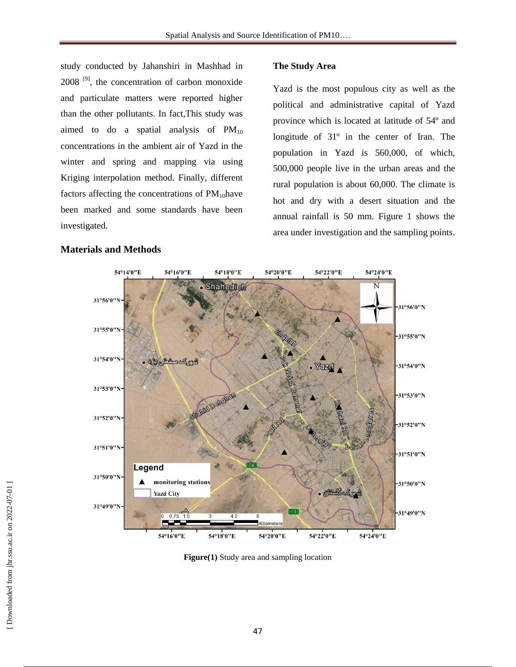study conducted by Jahanshiri in Mashhad in  $2008$ <sup>[9]</sup>, the concentration of carbon monoxide and particulate matters were reported higher than the other pollutants. In fact,This study was aimed to do a spatial analysis of  $PM_{10}$ concentrations in the ambient air of Yazd in the winter and spring and mapping via using Kriging interpolation method. Finally, different factors affecting the concentrations of  $PM_{10}$ have been marked and some standards have been investigated.

## **Materials and Methods**

#### **The Study Area**

Yazd is the most populous city as well as the political and administrative capital of Yazd province which is located at latitude of 54º and longitude of 31º in the center of Iran. The population in Yazd is 560,000, of which, 500,000 people live in the urban areas and the rural population is about 60,000. The climate is hot and dry with a desert situation and the annual rainfall is 50 mm. Figure 1 shows the area under investigation and the sampling points.



**Figure(1)** Study area and sampling location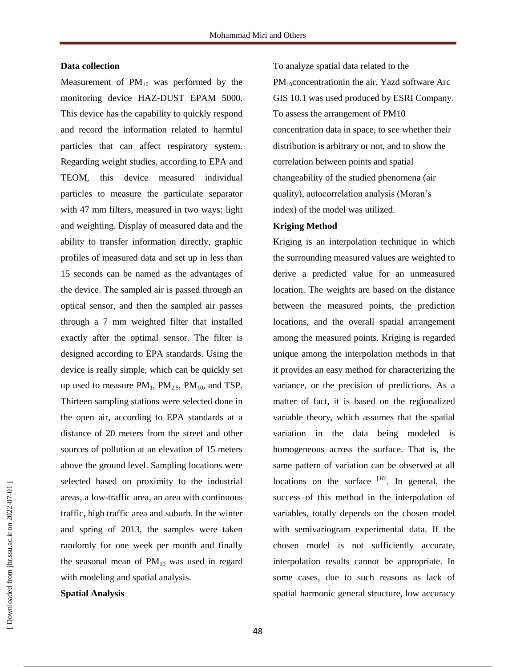#### **Data collection**

Measurement of  $PM_{10}$  was performed by the monitoring device HAZ-DUST EPAM 5000. This device has the capability to quickly respond and record the information related to harmful particles that can affect respiratory system. Regarding weight studies, according to EPA and TEOM, this device measured individual particles to measure the particulate separator with 47 mm filters, measured in two ways: light and weighting. Display of measured data and the ability to transfer information directly, graphic profiles of measured data and set up in less than 15 seconds can be named as the advantages of the device. The sampled air is passed through an optical sensor, and then the sampled air passes through a 7 mm weighted filter that installed exactly after the optimal sensor. The filter is designed according to EPA standards. Using the device is really simple, which can be quickly set up used to measure  $PM_1$ ,  $PM_{2.5}$ ,  $PM_{10}$ , and TSP. Thirteen sampling stations were selected done in the open air, according to EPA standards at a distance of 20 meters from the street and other sources of pollution at an elevation of 15 meters above the ground level. Sampling locations were selected based on proximity to the industrial areas, a low-traffic area, an area with continuous traffic, high traffic area and suburb. In the winter and spring of 2013, the samples were taken randomly for one week per month and finally the seasonal mean of  $PM_{10}$  was used in regard with modeling and spatial analysis.

**Spatial Analysis** 

To analyze spatial data related to the  $PM_{10}$ concentrationin the air, Yazd software Arc GIS 10.1 was used produced by ESRI Company. To assess the arrangement of PM10 concentration data in space, to see whether their distribution is arbitrary or not, and to show the correlation between points and spatial changeability of the studied phenomena (air quality), autocorrelation analysis (Moran's index) of the model was utilized.

#### **Kriging Method**

Kriging is an interpolation technique in which the surrounding measured values are weighted to derive a predicted value for an unmeasured location. The weights are based on the distance between the measured points, the prediction locations, and the overall spatial arrangement among the measured points. Kriging is regarded unique among the interpolation methods in that it provides an easy method for characterizing the variance, or the precision of predictions. As a matter of fact, it is based on the regionalized variable theory, which assumes that the spatial variation in the data being modeled is homogeneous across the surface. That is, the same pattern of variation can be observed at all locations on the surface  $[10]$ . In general, the success of this method in the interpolation of variables, totally depends on the chosen model with semivariogram experimental data. If the chosen model is not sufficiently accurate, interpolation results cannot be appropriate. In some cases, due to such reasons as lack of spatial harmonic general structure, low accuracy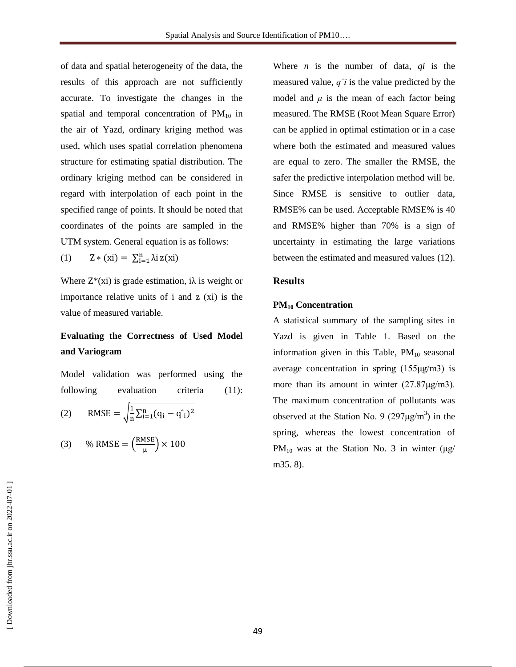of data and spatial heterogeneity of the data, the results of this approach are not sufficiently accurate. To investigate the changes in the spatial and temporal concentration of  $PM_{10}$  in the air of Yazd, ordinary kriging method was used, which uses spatial correlation phenomena structure for estimating spatial distribution. The ordinary kriging method can be considered in regard with interpolation of each point in the specified range of points. It should be noted that coordinates of the points are sampled in the UTM system. General equation is as follows:

(1)  $Z * (xi) = \sum_{i=1}^{n} \lambda i z(xi)$ 

Where  $Z^*(x)$  is grade estimation,  $i\lambda$  is weight or importance relative units of i and z (xi) is the value of measured variable.

### **Evaluating the Correctness of Used Model and Variogram**

Model validation was performed using the following evaluation criteria (11): (2) RMSE =  $\frac{1}{2}$  $\frac{1}{n} \sum_{i=1}^{n} (q_i - q_i)$ 

(3) % RMSE = 
$$
\left(\frac{\text{RMSE}}{\mu}\right) \times 100
$$

Where *n* is the number of data, *qi* is the measured value, *qˆi* is the value predicted by the model and  $\mu$  is the mean of each factor being measured. The RMSE (Root Mean Square Error) can be applied in optimal estimation or in a case where both the estimated and measured values are equal to zero. The smaller the RMSE, the safer the predictive interpolation method will be. Since RMSE is sensitive to outlier data, RMSE% can be used. Acceptable RMSE% is 40 and RMSE% higher than 70% is a sign of uncertainty in estimating the large variations between the estimated and measured values (12).

#### **Results**

#### **PM<sup>10</sup> Concentration**

A statistical summary of the sampling sites in Yazd is given in Table 1. Based on the information given in this Table,  $PM_{10}$  seasonal average concentration in spring (155μg/m3) is more than its amount in winter (27.87μg/m3). The maximum concentration of pollutants was observed at the Station No. 9  $(297 \mu g/m^3)$  in the spring, whereas the lowest concentration of  $PM_{10}$  was at the Station No. 3 in winter (μg/ m35. 8).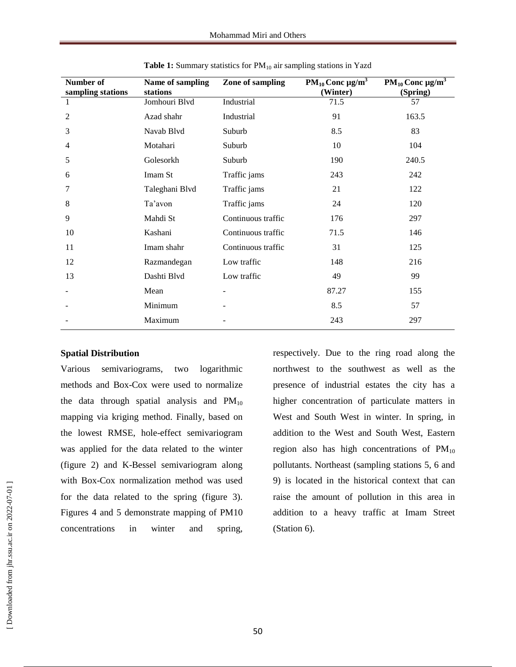| Number of<br>sampling stations | Name of sampling<br>stations | Zone of sampling   | $PM_{10}$ Conc $\mu g/m^3$<br>(Winter) | PM <sub>10</sub> Conc $\mu g/m^3$<br>(Spring) |
|--------------------------------|------------------------------|--------------------|----------------------------------------|-----------------------------------------------|
| $\mathbf{1}$                   | Jomhouri Blvd                | Industrial         | 71.5                                   | 57                                            |
| 2                              | Azad shahr                   | Industrial         | 91                                     | 163.5                                         |
| 3                              | Navab Blvd                   | Suburb             | 8.5                                    | 83                                            |
| 4                              | Motahari                     | Suburb             | 10                                     | 104                                           |
| 5                              | Golesorkh                    | Suburb             | 190                                    | 240.5                                         |
| 6                              | Imam St                      | Traffic jams       | 243                                    | 242                                           |
| 7                              | Taleghani Blvd               | Traffic jams       | 21                                     | 122                                           |
| 8                              | Ta'avon                      | Traffic jams       | 24                                     | 120                                           |
| 9                              | Mahdi St                     | Continuous traffic | 176                                    | 297                                           |
| 10                             | Kashani                      | Continuous traffic | 71.5                                   | 146                                           |
| 11                             | Imam shahr                   | Continuous traffic | 31                                     | 125                                           |
| 12                             | Razmandegan                  | Low traffic        | 148                                    | 216                                           |
| 13                             | Dashti Blvd                  | Low traffic        | 49                                     | 99                                            |
|                                | Mean                         |                    | 87.27                                  | 155                                           |
|                                | Minimum                      |                    | 8.5                                    | 57                                            |
|                                | Maximum                      |                    | 243                                    | 297                                           |

Table 1: Summary statistics for PM<sub>10</sub> air sampling stations in Yazd

#### **Spatial Distribution**

Various semivariograms, two logarithmic methods and Box-Cox were used to normalize the data through spatial analysis and  $PM_{10}$ mapping via kriging method. Finally, based on the lowest RMSE, hole-effect semivariogram was applied for the data related to the winter (figure 2) and K-Bessel semivariogram along with Box-Cox normalization method was used for the data related to the spring (figure 3). Figures 4 and 5 demonstrate mapping of PM10 concentrations in winter and spring,

respectively. Due to the ring road along the northwest to the southwest as well as the presence of industrial estates the city has a higher concentration of particulate matters in West and South West in winter. In spring, in addition to the West and South West, Eastern region also has high concentrations of  $PM_{10}$ pollutants. Northeast (sampling stations 5, 6 and 9) is located in the historical context that can raise the amount of pollution in this area in addition to a heavy traffic at Imam Street (Station 6).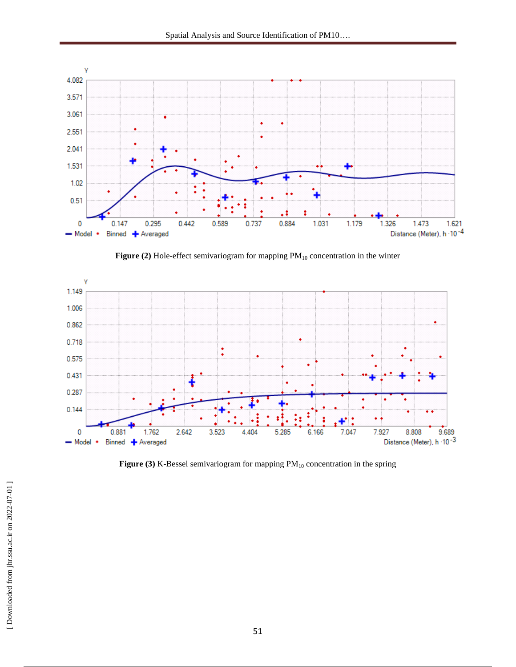

Figure (2) Hole-effect semivariogram for mapping PM<sub>10</sub> concentration in the winter



**Figure (3)** K-Bessel semivariogram for mapping  $PM_{10}$  concentration in the spring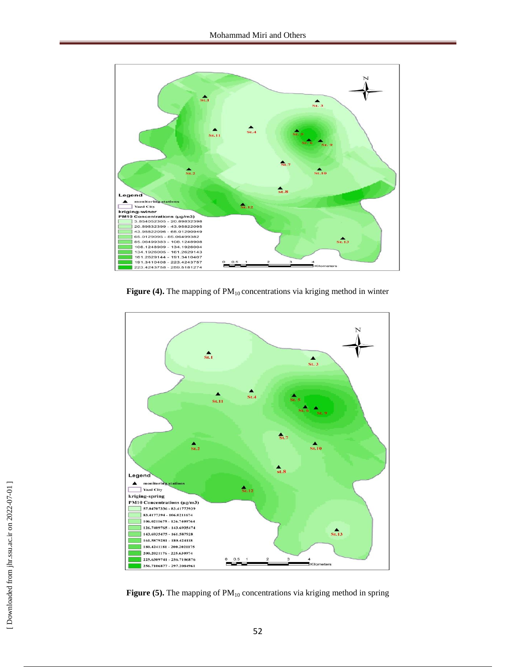

Figure (4). The mapping of PM<sub>10</sub> concentrations via kriging method in winter



**Figure (5).** The mapping of PM<sub>10</sub> concentrations via kriging method in spring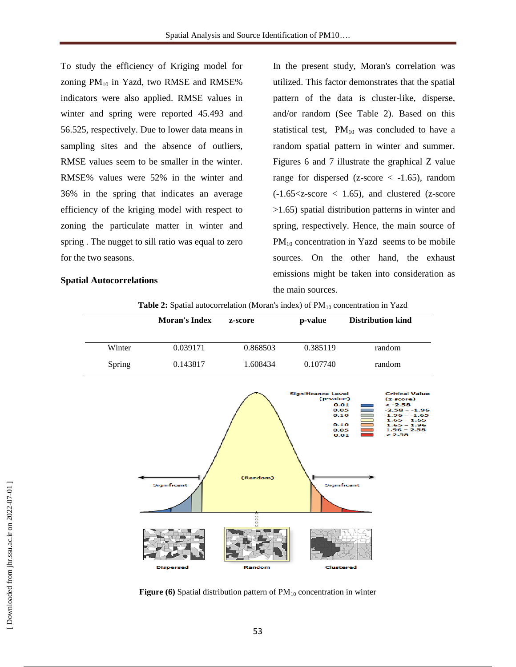To study the efficiency of Kriging model for zoning  $PM_{10}$  in Yazd, two RMSE and RMSE% indicators were also applied. RMSE values in winter and spring were reported 45.493 and 56.525, respectively. Due to lower data means in sampling sites and the absence of outliers, RMSE values seem to be smaller in the winter. RMSE% values were 52% in the winter and 36% in the spring that indicates an average efficiency of the kriging model with respect to zoning the particulate matter in winter and spring . The nugget to sill ratio was equal to zero for the two seasons.

#### **Spatial Autocorrelations**

In the present study, Moran's correlation was utilized. This factor demonstrates that the spatial pattern of the data is cluster-like, disperse, and/or random (See Table 2). Based on this statistical test,  $PM_{10}$  was concluded to have a random spatial pattern in winter and summer. Figures 6 and 7 illustrate the graphical Z value range for dispersed (z-score  $\langle$  -1.65), random  $(-1.65-score  $\lt$  1.65), and clustered (z-score$ >1.65) spatial distribution patterns in winter and spring, respectively. Hence, the main source of  $PM_{10}$  concentration in Yazd seems to be mobile sources. On the other hand, the exhaust emissions might be taken into consideration as the main sources.

| <b>Table 2:</b> Spatial autocorrelation (Moran's index) of $PM_{10}$ concentration in Yazd |  |  |  |
|--------------------------------------------------------------------------------------------|--|--|--|
|--------------------------------------------------------------------------------------------|--|--|--|





**Figure (6)** Spatial distribution pattern of  $PM_{10}$  concentration in winter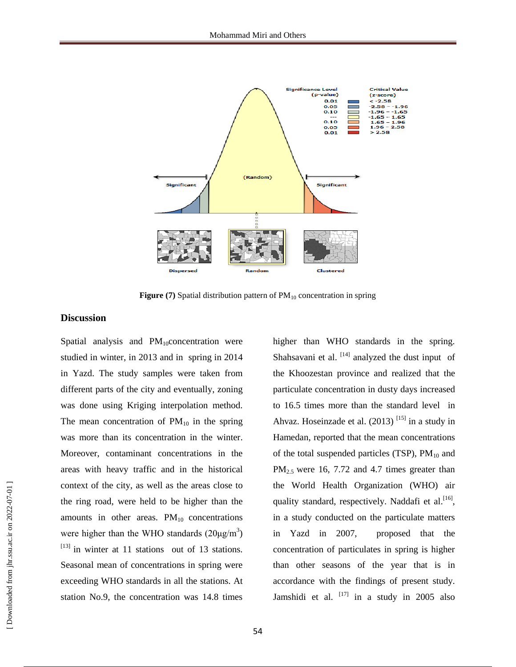![](_page_9_Figure_1.jpeg)

**Figure (7)** Spatial distribution pattern of  $PM_{10}$  concentration in spring

#### **Discussion**

Spatial analysis and  $PM_{10}$ concentration were studied in winter, in 2013 and in spring in 2014 in Yazd. The study samples were taken from different parts of the city and eventually, zoning was done using Kriging interpolation method. The mean concentration of  $PM_{10}$  in the spring was more than its concentration in the winter. Moreover, contaminant concentrations in the areas with heavy traffic and in the historical context of the city, as well as the areas close to the ring road, were held to be higher than the amounts in other areas.  $PM_{10}$  concentrations were higher than the WHO standards  $(20\mu g/m^3)$  $^{[13]}$  in winter at 11 stations out of 13 stations. Seasonal mean of concentrations in spring were exceeding WHO standards in all the stations. At station No.9, the concentration was 14.8 times

higher than WHO standards in the spring. Shahsavani et al.  $[14]$  analyzed the dust input of the Khoozestan province and realized that the particulate concentration in dusty days increased to 16.5 times more than the standard level in Ahvaz. Hoseinzade et al.  $(2013)$ <sup>[15]</sup> in a study in Hamedan, reported that the mean concentrations of the total suspended particles (TSP),  $PM_{10}$  and  $PM<sub>2.5</sub>$  were 16, 7.72 and 4.7 times greater than the World Health Organization (WHO) air quality standard, respectively. Naddafi et al.<sup>[16]</sup>, in a study conducted on the particulate matters in Yazd in 2007, proposed that the concentration of particulates in spring is higher than other seasons of the year that is in accordance with the findings of present study. Jamshidi et al. <sup>[17]</sup> in a study in 2005 also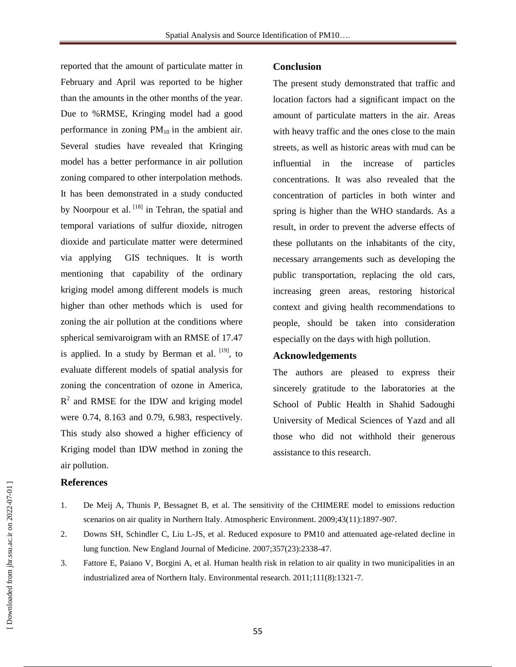reported that the amount of particulate matter in February and April was reported to be higher than the amounts in the other months of the year. Due to %RMSE, Kringing model had a good performance in zoning  $PM_{10}$  in the ambient air. Several studies have revealed that Kringing model has a better performance in air pollution zoning compared to other interpolation methods. It has been demonstrated in a study conducted by Noorpour et al. [18] in Tehran, the spatial and temporal variations of sulfur dioxide, nitrogen dioxide and particulate matter were determined via applying GIS techniques. It is worth mentioning that capability of the ordinary kriging model among different models is much higher than other methods which is used for zoning the air pollution at the conditions where spherical semivaroigram with an RMSE of 17.47 is applied. In a study by Berman et al.  $[19]$ , to evaluate different models of spatial analysis for zoning the concentration of ozone in America,  $R<sup>2</sup>$  and RMSE for the IDW and kriging model were 0.74, 8.163 and 0.79, 6.983, respectively. This study also showed a higher efficiency of Kriging model than IDW method in zoning the air pollution.

#### **Conclusion**

The present study demonstrated that traffic and location factors had a significant impact on the amount of particulate matters in the air. Areas with heavy traffic and the ones close to the main streets, as well as historic areas with mud can be influential in the increase of particles concentrations. It was also revealed that the concentration of particles in both winter and spring is higher than the WHO standards. As a result, in order to prevent the adverse effects of these pollutants on the inhabitants of the city, necessary arrangements such as developing the public transportation, replacing the old cars, increasing green areas, restoring historical context and giving health recommendations to people, should be taken into consideration especially on the days with high pollution.

#### **Acknowledgements**

The authors are pleased to express their sincerely gratitude to the laboratories at the School of Public Health in Shahid Sadoughi University of Medical Sciences of Yazd and all those who did not withhold their generous assistance to this research.

#### **References**

- 1. De Meij A, Thunis P, Bessagnet B, et al. The sensitivity of the CHIMERE model to emissions reduction scenarios on air quality in Northern Italy. Atmospheric Environment. 2009;43(11):1897-907.
- 2. Downs SH, Schindler C, Liu L-JS, et al. Reduced exposure to PM10 and attenuated age-related decline in lung function. New England Journal of Medicine. 2007;357(23):2338-47.
- 3. Fattore E, Paiano V, Borgini A, et al. Human health risk in relation to air quality in two municipalities in an industrialized area of Northern Italy. Environmental research. 2011;111(8):1321-7.